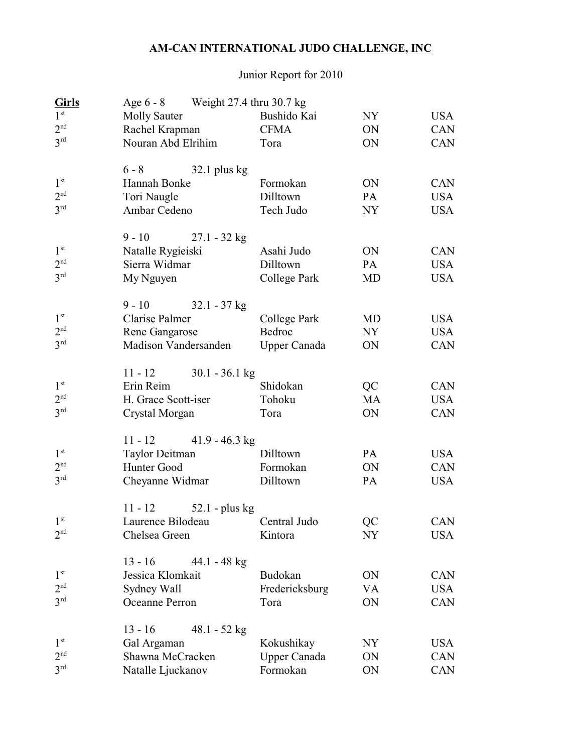## **AM-CAN INTERNATIONAL JUDO CHALLENGE, INC**

## Junior Report for 2010

| Girls           | Age 6 - 8 Weight 27.4 thru 30.7 kg |                     |           |            |
|-----------------|------------------------------------|---------------------|-----------|------------|
| 1 <sup>st</sup> | <b>Molly Sauter</b>                | Bushido Kai         | <b>NY</b> | <b>USA</b> |
| 2 <sup>nd</sup> | Rachel Krapman                     | <b>CFMA</b>         | ON        | CAN        |
| 3 <sup>rd</sup> | Nouran Abd Elrihim                 | Tora                | ON        | <b>CAN</b> |
|                 | $6 - 8$<br>$32.1$ plus kg          |                     |           |            |
| 1 <sup>st</sup> | Hannah Bonke                       | Formokan            | ON        | <b>CAN</b> |
| 2 <sup>nd</sup> | Tori Naugle                        | Dilltown            | PA        | <b>USA</b> |
| 3 <sup>rd</sup> | Ambar Cedeno                       | Tech Judo           | <b>NY</b> | <b>USA</b> |
|                 | $9 - 10$<br>$27.1 - 32$ kg         |                     |           |            |
| 1 <sup>st</sup> | Natalle Rygieiski                  | Asahi Judo          | ON        | <b>CAN</b> |
| 2 <sup>nd</sup> | Sierra Widmar                      | Dilltown            | PA        | <b>USA</b> |
| 3 <sup>rd</sup> | My Nguyen                          | College Park        | MD        | <b>USA</b> |
|                 | $9 - 10$<br>$32.1 - 37$ kg         |                     |           |            |
| 1 <sup>st</sup> | Clarise Palmer                     | College Park        | MD        | <b>USA</b> |
| 2 <sup>nd</sup> | Rene Gangarose                     | Bedroc              | NY        | <b>USA</b> |
| 3 <sup>rd</sup> | Madison Vandersanden               | <b>Upper Canada</b> | ON        | <b>CAN</b> |
|                 | $30.1 - 36.1$ kg<br>$11 - 12$      |                     |           |            |
| 1 <sup>st</sup> | Erin Reim                          | Shidokan            | QC        | <b>CAN</b> |
| 2 <sup>nd</sup> | H. Grace Scott-iser                | Tohoku              | <b>MA</b> | <b>USA</b> |
| 3 <sup>rd</sup> | Crystal Morgan                     | Tora                | ON        | <b>CAN</b> |
|                 | $41.9 - 46.3$ kg<br>$11 - 12$      |                     |           |            |
| 1 <sup>st</sup> | <b>Taylor Deitman</b>              | Dilltown            | PA        | <b>USA</b> |
| 2 <sup>nd</sup> | Hunter Good                        | Formokan            | ON        | <b>CAN</b> |
| 3 <sup>rd</sup> | Cheyanne Widmar                    | Dilltown            | <b>PA</b> | <b>USA</b> |
|                 | $11 - 12$<br>$52.1$ - plus kg      |                     |           |            |
| 1 <sup>st</sup> | Laurence Bilodeau Central Judo     |                     | QC        | <b>CAN</b> |
| 2 <sup>nd</sup> | Chelsea Green                      | Kintora             | NY        | USA        |
|                 | $13 - 16$<br>$44.1 - 48$ kg        |                     |           |            |
| 1 <sup>st</sup> | Jessica Klomkait                   | Budokan             | ON        | CAN        |
| 2 <sup>nd</sup> | Sydney Wall                        | Fredericksburg      | VA        | <b>USA</b> |
| 3 <sup>rd</sup> | Oceanne Perron                     | Tora                | ON        | CAN        |
|                 | $13 - 16$<br>$48.1 - 52$ kg        |                     |           |            |
| 1 <sup>st</sup> | Gal Argaman                        | Kokushikay          | NY        | USA        |
| 2 <sup>nd</sup> | Shawna McCracken                   | <b>Upper Canada</b> | ON        | <b>CAN</b> |
| 3 <sup>rd</sup> | Natalle Ljuckanov                  | Formokan            | ON        | CAN        |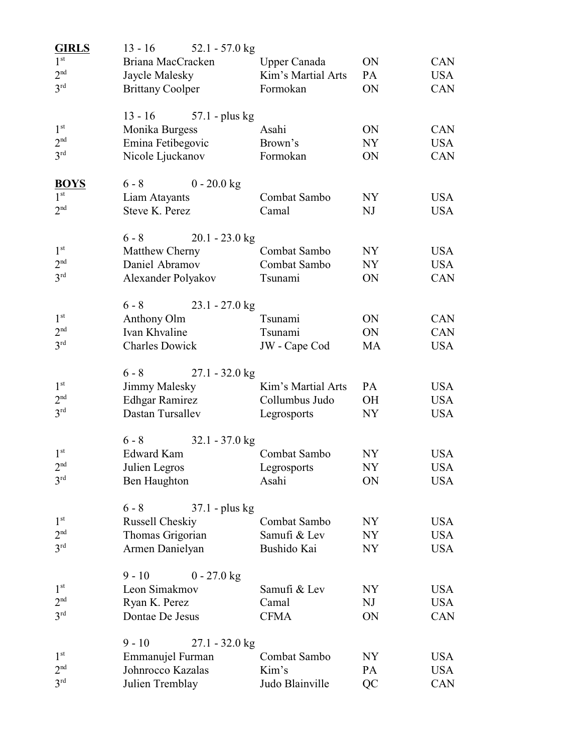| <b>GIRLS</b>    | $13 - 16$               | 52.1 - 57.0 $kg$ |                     |           |            |
|-----------------|-------------------------|------------------|---------------------|-----------|------------|
| 1 <sup>st</sup> | Briana MacCracken       |                  | <b>Upper Canada</b> | ON        | <b>CAN</b> |
| 2 <sup>nd</sup> | Jaycle Malesky          |                  | Kim's Martial Arts  | PA        | <b>USA</b> |
| 3 <sup>rd</sup> | <b>Brittany Coolper</b> |                  | Formokan            | ON        | CAN        |
|                 | $13 - 16$               | $57.1$ - plus kg |                     |           |            |
| 1 <sup>st</sup> | Monika Burgess          |                  | Asahi               | ON        | <b>CAN</b> |
| 2 <sup>nd</sup> | Emina Fetibegovic       |                  | Brown's             | NY        | <b>USA</b> |
| 3 <sup>rd</sup> | Nicole Ljuckanov        |                  | Formokan            | <b>ON</b> | CAN        |
| <b>BOYS</b>     | $6 - 8$                 | $0 - 20.0$ kg    |                     |           |            |
| 1 <sup>st</sup> | Liam Atayants           |                  | Combat Sambo        | NY        | USA        |
| 2 <sup>nd</sup> | Steve K. Perez          |                  | Camal               | NJ        | <b>USA</b> |
|                 | $6 - 8$                 | $20.1 - 23.0$ kg |                     |           |            |
| 1 <sup>st</sup> | Matthew Cherny          |                  | Combat Sambo        | NY.       | <b>USA</b> |
| 2 <sup>nd</sup> | Daniel Abramov          |                  | Combat Sambo        | NY        | <b>USA</b> |
| 3 <sup>rd</sup> | Alexander Polyakov      |                  | Tsunami             | ON        | CAN        |
|                 | $6 - 8$                 | $23.1 - 27.0$ kg |                     |           |            |
| 1 <sup>st</sup> | Anthony Olm             |                  | Tsunami             | ON        | <b>CAN</b> |
| 2 <sup>nd</sup> | Ivan Khvaline           |                  | Tsunami             | ON        | <b>CAN</b> |
| 3 <sup>rd</sup> | <b>Charles Dowick</b>   |                  | JW - Cape Cod       | <b>MA</b> | <b>USA</b> |
|                 | $6 - 8$                 | $27.1 - 32.0$ kg |                     |           |            |
| 1 <sup>st</sup> | Jimmy Malesky           |                  | Kim's Martial Arts  | PA        | <b>USA</b> |
| 2 <sup>nd</sup> | <b>Edhgar Ramirez</b>   |                  | Collumbus Judo      | OН        | <b>USA</b> |
| 3 <sup>rd</sup> | Dastan Tursallev        |                  | Legrosports         | NY.       | <b>USA</b> |
|                 | $6 - 8$                 | $32.1 - 37.0$ kg |                     |           |            |
| 1 <sup>st</sup> | Edward Kam              |                  | Combat Sambo        | NY        | <b>USA</b> |
| 2 <sup>nd</sup> | Julien Legros           |                  | Legrosports         | <b>NY</b> | <b>USA</b> |
| $3^{\text{rd}}$ | Ben Haughton            |                  | Asahi               | ON        | USA        |
|                 | $6 - 8$                 | $37.1$ - plus kg |                     |           |            |
| 1 <sup>st</sup> | Russell Cheskiy         |                  | Combat Sambo        | NY        | USA        |
| 2 <sup>nd</sup> | Thomas Grigorian        |                  | Samufi & Lev        | NY        | <b>USA</b> |
| 3 <sup>rd</sup> | Armen Danielyan         |                  | Bushido Kai         | NY        | USA        |
|                 | $9 - 10$                | $0 - 27.0$ kg    |                     |           |            |
| $1^{\rm st}$    | Leon Simakmov           |                  | Samufi & Lev        | NY        | USA        |
| 2 <sup>nd</sup> | Ryan K. Perez           |                  | Camal               | NJ        | <b>USA</b> |
| 3 <sup>rd</sup> | Dontae De Jesus         |                  | <b>CFMA</b>         | ON        | CAN        |
|                 | $9 - 10$                | 27.1 - 32.0 kg   |                     |           |            |
| 1 <sup>st</sup> | Emmanujel Furman        |                  | Combat Sambo        | NY        | USA        |
| 2 <sup>nd</sup> | Johnrocco Kazalas       |                  | Kim's               | PA        | <b>USA</b> |
| 3 <sup>rd</sup> | Julien Tremblay         |                  | Judo Blainville     | QC        | CAN        |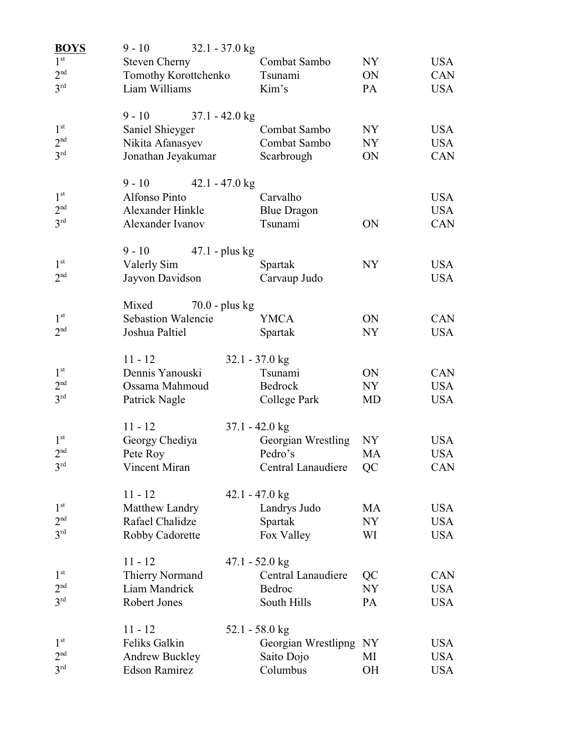| <b>BOYS</b>     | $9 - 10$                           | $32.1 - 37.0$ kg                |                |                   |
|-----------------|------------------------------------|---------------------------------|----------------|-------------------|
| 1 <sup>st</sup> | <b>Steven Cherny</b>               | Combat Sambo                    | NY             | <b>USA</b>        |
| 2 <sup>nd</sup> | Tomothy Korottchenko               | Tsunami                         | ON             | CAN               |
| 3 <sup>rd</sup> | Liam Williams                      | Kim's                           | PA             | <b>USA</b>        |
|                 | $9 - 10$                           | $37.1 - 42.0$ kg                |                |                   |
| 1 <sup>st</sup> | Saniel Shieyger                    | Combat Sambo                    | NY <sub></sub> | USA               |
| 2 <sup>nd</sup> | Nikita Afanasyev                   | Combat Sambo                    | NY.            | <b>USA</b>        |
| 3 <sup>rd</sup> | Jonathan Jeyakumar                 | Scarbrough                      | <b>ON</b>      | <b>CAN</b>        |
|                 | $9 - 10$                           | $42.1 - 47.0$ kg                |                |                   |
| 1 <sup>st</sup> | Alfonso Pinto                      | Carvalho                        |                | USA               |
| 2 <sup>nd</sup> | Alexander Hinkle                   | <b>Blue Dragon</b>              |                | <b>USA</b>        |
| 3 <sup>rd</sup> | Alexander Ivanov                   | Tsunami                         | <b>ON</b>      | <b>CAN</b>        |
| 1 <sup>st</sup> | $9 - 10$                           | $47.1$ - plus kg                |                |                   |
| 2 <sup>nd</sup> | Valerly Sim                        | Spartak                         | NY.            | USA<br><b>USA</b> |
|                 | Jayvon Davidson                    | Carvaup Judo                    |                |                   |
| 1 <sup>st</sup> | Mixed<br><b>Sebastion Walencie</b> | $70.0$ - plus kg<br><b>YMCA</b> | ON             | <b>CAN</b>        |
| 2 <sup>nd</sup> | Joshua Paltiel                     | Spartak                         | <b>NY</b>      | <b>USA</b>        |
|                 |                                    |                                 |                |                   |
| 1 <sup>st</sup> | $11 - 12$                          | $32.1 - 37.0$ kg                |                |                   |
| 2 <sup>nd</sup> | Dennis Yanouski                    | Tsunami                         | ON             | <b>CAN</b>        |
| 3 <sup>rd</sup> | Ossama Mahmoud                     | Bedrock                         | NY             | <b>USA</b>        |
|                 | Patrick Nagle                      | College Park                    | MD             | <b>USA</b>        |
|                 | $11 - 12$                          | $37.1 - 42.0$ kg                |                |                   |
| 1 <sup>st</sup> | Georgy Chediya                     | Georgian Wrestling              | NY.            | <b>USA</b>        |
| 2 <sup>nd</sup> | Pete Roy                           | Pedro's                         | <b>MA</b>      | <b>USA</b>        |
| 3 <sup>rd</sup> | Vincent Miran                      | Central Lanaudiere QC           |                | CAN               |
|                 | $11 - 12$                          | $42.1 - 47.0$ kg                |                |                   |
| 1 <sup>st</sup> | Matthew Landry                     | Landrys Judo                    | MA             | USA               |
| 2 <sup>nd</sup> | Rafael Chalidze                    | Spartak                         | NY             | <b>USA</b>        |
| 3 <sup>rd</sup> | Robby Cadorette                    | Fox Valley                      | WI             | <b>USA</b>        |
|                 | $11 - 12$                          | 47.1 - 52.0 kg                  |                |                   |
| 1 <sup>st</sup> | Thierry Normand                    | <b>Central Lanaudiere</b>       | QC             | CAN               |
| 2 <sup>nd</sup> | Liam Mandrick                      | Bedroc                          | <b>NY</b>      | <b>USA</b>        |
| 3 <sup>rd</sup> | Robert Jones                       | South Hills                     | PA             | <b>USA</b>        |
|                 | $11 - 12$                          | $52.1 - 58.0$ kg                |                |                   |
| 1 <sup>st</sup> | Feliks Galkin                      | Georgian Wrestlipng NY          |                | USA               |
| 2 <sup>nd</sup> | <b>Andrew Buckley</b>              | Saito Dojo                      | MI             | <b>USA</b>        |
| $3^{\text{rd}}$ | <b>Edson Ramirez</b>               | Columbus                        | <b>OH</b>      | <b>USA</b>        |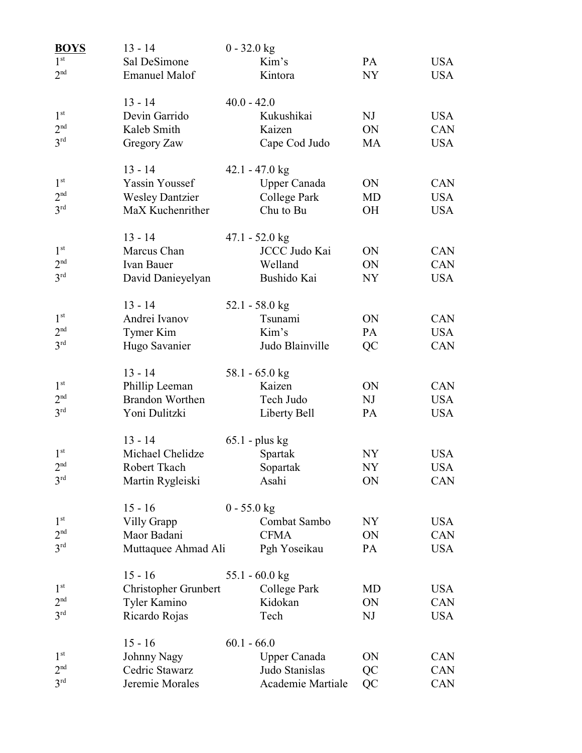| <b>BOYS</b>     | $13 - 14$              | $0 - 32.0$ kg            |    |            |
|-----------------|------------------------|--------------------------|----|------------|
| 1 <sup>st</sup> | Sal DeSimone           | Kim's                    | PA | <b>USA</b> |
| 2 <sup>nd</sup> | <b>Emanuel Malof</b>   | Kintora                  | NY | <b>USA</b> |
|                 | $13 - 14$              | $40.0 - 42.0$            |    |            |
| 1 <sup>st</sup> | Devin Garrido          | Kukushikai               | NJ | <b>USA</b> |
| 2 <sup>nd</sup> | Kaleb Smith            | Kaizen                   | ON | CAN        |
| $3^{\text{rd}}$ | Gregory Zaw            | Cape Cod Judo            | MA | <b>USA</b> |
|                 | $13 - 14$              | $42.1 - 47.0$ kg         |    |            |
| 1 <sup>st</sup> | Yassin Youssef         | <b>Upper Canada</b>      | ON | <b>CAN</b> |
| 2 <sup>nd</sup> | <b>Wesley Dantzier</b> | College Park             | MD | <b>USA</b> |
| 3 <sup>rd</sup> | MaX Kuchenrither       | Chu to Bu                | OH | <b>USA</b> |
|                 | $13 - 14$              | $47.1 - 52.0$ kg         |    |            |
| 1 <sup>st</sup> | Marcus Chan            | JCCC Judo Kai            | ON | <b>CAN</b> |
| 2 <sup>nd</sup> | Ivan Bauer             | Welland                  | ON | CAN        |
| 3 <sup>rd</sup> | David Danieyelyan      | Bushido Kai              | NY | <b>USA</b> |
|                 | $13 - 14$              | 52.1 - 58.0 kg           |    |            |
| 1 <sup>st</sup> | Andrei Ivanov          | Tsunami                  | ON | CAN        |
| 2 <sup>nd</sup> | Tymer Kim              | Kim's                    | PA | <b>USA</b> |
| 3 <sup>rd</sup> | Hugo Savanier          | Judo Blainville          | QC | CAN        |
|                 | $13 - 14$              | 58.1 - 65.0 kg           |    |            |
| 1 <sup>st</sup> | Phillip Leeman         | Kaizen                   | ON | CAN        |
| 2 <sup>nd</sup> | <b>Brandon Worthen</b> | Tech Judo                | NJ | <b>USA</b> |
| 3 <sup>rd</sup> | Yoni Dulitzki          | Liberty Bell             | PA | <b>USA</b> |
|                 | $13 - 14$              | $65.1$ - plus kg         |    |            |
| 1 <sup>st</sup> | Michael Chelidze       | Spartak                  | NY | <b>USA</b> |
| 2 <sup>nd</sup> | Robert Tkach           | Sopartak                 | NY | USA        |
| 3 <sup>rd</sup> | Martin Rygleiski       | Asahi                    | ON | CAN        |
|                 | $15 - 16$              | $0 - 55.0$ kg            |    |            |
| 1 <sup>st</sup> | Villy Grapp            | Combat Sambo             | NY | <b>USA</b> |
| 2 <sup>nd</sup> | Maor Badani            | <b>CFMA</b>              | ON | CAN        |
| $3^{\text{rd}}$ | Muttaquee Ahmad Ali    | Pgh Yoseikau             | PA | <b>USA</b> |
|                 | $15 - 16$              | 55.1 - $60.0 \text{ kg}$ |    |            |
| 1 <sup>st</sup> | Christopher Grunbert   | College Park             | MD | <b>USA</b> |
| 2 <sup>nd</sup> | Tyler Kamino           | Kidokan                  | ON | CAN        |
| 3 <sup>rd</sup> | Ricardo Rojas          | Tech                     | NJ | <b>USA</b> |
|                 | $15 - 16$              | $60.1 - 66.0$            |    |            |
| 1 <sup>st</sup> | Johnny Nagy            | Upper Canada             | ON | CAN        |
| 2 <sup>nd</sup> | Cedric Stawarz         | Judo Stanislas           | QC | CAN        |
| 3 <sup>rd</sup> | Jeremie Morales        | Academie Martiale        | QC | CAN        |